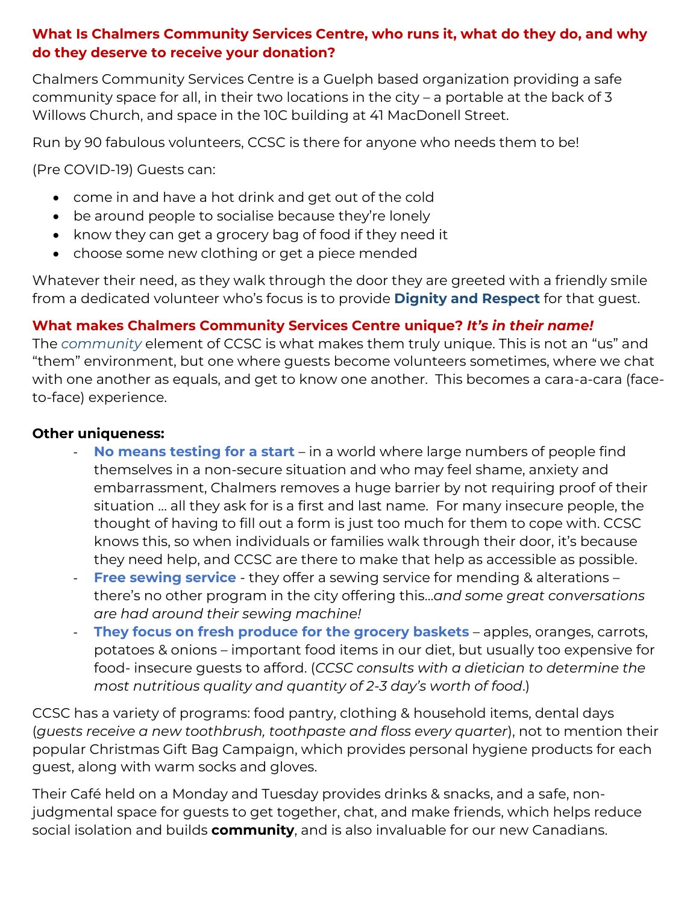## **What Is Chalmers Community Services Centre, who runs it, what do they do, and why do they deserve to receive your donation?**

Chalmers Community Services Centre is a Guelph based organization providing a safe community space for all, in their two locations in the city – a portable at the back of 3 Willows Church, and space in the 10C building at 41 MacDonell Street.

Run by 90 fabulous volunteers, CCSC is there for anyone who needs them to be!

(Pre COVID-19) Guests can:

- come in and have a hot drink and get out of the cold
- be around people to socialise because they're lonely
- know they can get a grocery bag of food if they need it
- choose some new clothing or get a piece mended

Whatever their need, as they walk through the door they are greeted with a friendly smile from a dedicated volunteer who's focus is to provide **Dignity and Respect** for that guest.

## **What makes Chalmers Community Services Centre unique?** *It's in their name!*

The *community* element of CCSC is what makes them truly unique. This is not an "us" and "them" environment, but one where guests become volunteers sometimes, where we chat with one another as equals, and get to know one another. This becomes a cara-a-cara (faceto-face) experience.

## **Other uniqueness:**

- **No means testing for a start** in a world where large numbers of people find themselves in a non-secure situation and who may feel shame, anxiety and embarrassment, Chalmers removes a huge barrier by not requiring proof of their situation … all they ask for is a first and last name. For many insecure people, the thought of having to fill out a form is just too much for them to cope with. CCSC knows this, so when individuals or families walk through their door, it's because they need help, and CCSC are there to make that help as accessible as possible.
- **Free sewing service** they offer a sewing service for mending & alterations there's no other program in the city offering this…*and some great conversations are had around their sewing machine!*
- **They focus on fresh produce for the grocery baskets** apples, oranges, carrots, potatoes & onions – important food items in our diet, but usually too expensive for food- insecure guests to afford. (*CCSC consults with a dietician to determine the most nutritious quality and quantity of 2-3 day's worth of food*.)

CCSC has a variety of programs: food pantry, clothing & household items, dental days (*guests receive a new toothbrush, toothpaste and floss every quarter*), not to mention their popular Christmas Gift Bag Campaign, which provides personal hygiene products for each guest, along with warm socks and gloves.

Their Café held on a Monday and Tuesday provides drinks & snacks, and a safe, nonjudgmental space for guests to get together, chat, and make friends, which helps reduce social isolation and builds **community**, and is also invaluable for our new Canadians.